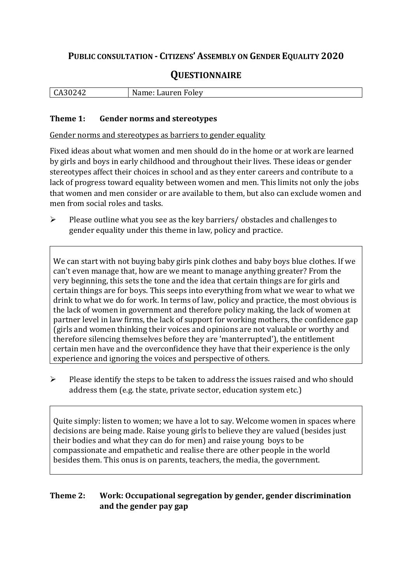# **PUBLIC CONSULTATION - CITIZENS' ASSEMBLY ON GENDER EQUALITY 2020**

# **QUESTIONNAIRE**

| .            | N               |
|--------------|-----------------|
| $\mathbf{A}$ | -----           |
| ┰∠           | 10 <sup>1</sup> |
| ື            | ⊿aur⊬           |
| $\cdot$ .    | UIE             |
|              | <b>CILL</b>     |
|              |                 |

#### **Theme 1: Gender norms and stereotypes**

Gender norms and stereotypes as barriers to gender equality

Fixed ideas about what women and men should do in the home or at work are learned by girls and boys in early childhood and throughout their lives. These ideas or gender stereotypes affect their choices in school and as they enter careers and contribute to a lack of progress toward equality between women and men. This limits not only the jobs that women and men consider or are available to them, but also can exclude women and men from social roles and tasks.

➢ Please outline what you see as the key barriers/ obstacles and challenges to gender equality under this theme in law, policy and practice.

We can start with not buying baby girls pink clothes and baby boys blue clothes. If we can't even manage that, how are we meant to manage anything greater? From the very beginning, this sets the tone and the idea that certain things are for girls and certain things are for boys. This seeps into everything from what we wear to what we drink to what we do for work. In terms of law, policy and practice, the most obvious is the lack of women in government and therefore policy making, the lack of women at partner level in law firms, the lack of support for working mothers, the confidence gap (girls and women thinking their voices and opinions are not valuable or worthy and therefore silencing themselves before they are 'manterrupted'), the entitlement certain men have and the overconfidence they have that their experience is the only experience and ignoring the voices and perspective of others.

➢ Please identify the steps to be taken to address the issues raised and who should address them (e.g. the state, private sector, education system etc.)

Quite simply: listen to women; we have a lot to say. Welcome women in spaces where decisions are being made. Raise young girls to believe they are valued (besides just their bodies and what they can do for men) and raise young boys to be compassionate and empathetic and realise there are other people in the world besides them. This onus is on parents, teachers, the media, the government.

## **Theme 2: Work: Occupational segregation by gender, gender discrimination and the gender pay gap**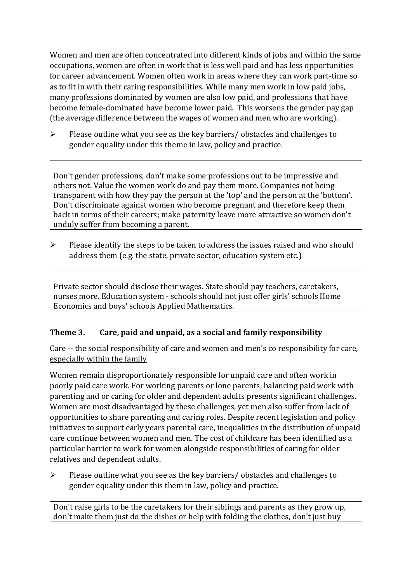Women and men are often concentrated into different kinds of jobs and within the same occupations, women are often in work that is less well paid and has less opportunities for career advancement. Women often work in areas where they can work part-time so as to fit in with their caring responsibilities. While many men work in low paid jobs, many professions dominated by women are also low paid, and professions that have become female-dominated have become lower paid. This worsens the gender pay gap (the average difference between the wages of women and men who are working).

➢ Please outline what you see as the key barriers/ obstacles and challenges to gender equality under this theme in law, policy and practice.

Don't gender professions, don't make some professions out to be impressive and others not. Value the women work do and pay them more. Companies not being transparent with how they pay the person at the 'top' and the person at the 'bottom'. Don't discriminate against women who become pregnant and therefore keep them back in terms of their careers; make paternity leave more attractive so women don't unduly suffer from becoming a parent.

➢ Please identify the steps to be taken to address the issues raised and who should address them (e.g. the state, private sector, education system etc.)

Private sector should disclose their wages. State should pay teachers, caretakers, nurses more. Education system - schools should not just offer girls' schools Home Economics and boys' schools Applied Mathematics.

# **Theme 3. Care, paid and unpaid, as a social and family responsibility**

Care -- the social responsibility of care and women and men's co responsibility for care, especially within the family

Women remain disproportionately responsible for unpaid care and often work in poorly paid care work. For working parents or [lone parents,](https://aran.library.nuigalway.ie/bitstream/handle/10379/6044/Millar_and_Crosse_Activation_Report.pdf?sequence=1&isAllowed=y) balancing paid work with parenting and or caring for older and dependent adults presents significant challenges. Women are [most disadvantaged by these challenges,](https://eige.europa.eu/gender-equality-index/game/IE/W) yet men also suffer from lack of opportunities to share parenting and caring roles. Despite recent legislation and policy initiatives to support early years parental care, [inequalities in the distribution of unpaid](https://www.ihrec.ie/app/uploads/2019/07/Caring-and-Unpaid-Work-in-Ireland_Final.pdf)  [care](https://www.ihrec.ie/app/uploads/2019/07/Caring-and-Unpaid-Work-in-Ireland_Final.pdf) continue between women and men. The cost of childcare has been identified as a particular barrier to work for women alongside responsibilities of caring for older relatives and dependent adults.

➢ Please outline what you see as the key barriers/ obstacles and challenges to gender equality under this them in law, policy and practice.

Don't raise girls to be the caretakers for their siblings and parents as they grow up, don't make them just do the dishes or help with folding the clothes, don't just buy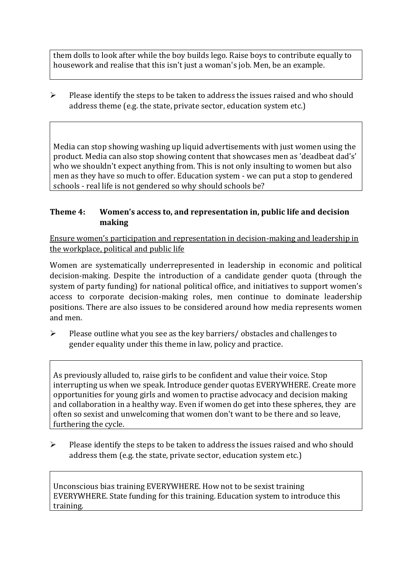them dolls to look after while the boy builds lego. Raise boys to contribute equally to housework and realise that this isn't just a woman's job. Men, be an example.

 $\triangleright$  Please identify the steps to be taken to address the issues raised and who should address theme (e.g. the state, private sector, education system etc.)

Media can stop showing washing up liquid advertisements with just women using the product. Media can also stop showing content that showcases men as 'deadbeat dad's' who we shouldn't expect anything from. This is not only insulting to women but also men as they have so much to offer. Education system - we can put a stop to gendered schools - real life is not gendered so why should schools be?

### **Theme 4: Women's access to, and representation in, public life and decision making**

Ensure women's participation and representation in decision-making and leadership in the workplace, political and public life

Women are systematically underrepresented in leadership in [economic](https://eige.europa.eu/gender-equality-index/2019/compare-countries/power/2/bar) and [political](https://eige.europa.eu/gender-equality-index/2019/compare-countries/power/1/bar)  [decision-](https://eige.europa.eu/gender-equality-index/2019/compare-countries/power/1/bar)making. Despite the introduction of a candidate gender quota (through the system of party funding) for national political office, and [initiatives](https://betterbalance.ie/) to support women's access to corporate decision-making roles, men continue to dominate leadership positions. There are also issues to be considered around how media represents women and men.

➢ Please outline what you see as the key barriers/ obstacles and challenges to gender equality under this theme in law, policy and practice.

As previously alluded to, raise girls to be confident and value their voice. Stop interrupting us when we speak. Introduce gender quotas EVERYWHERE. Create more opportunities for young girls and women to practise advocacy and decision making and collaboration in a healthy way. Even if women do get into these spheres, they are often so sexist and unwelcoming that women don't want to be there and so leave, furthering the cycle.

 $\triangleright$  Please identify the steps to be taken to address the issues raised and who should address them (e.g. the state, private sector, education system etc.)

Unconscious bias training EVERYWHERE. How not to be sexist training EVERYWHERE. State funding for this training. Education system to introduce this training.